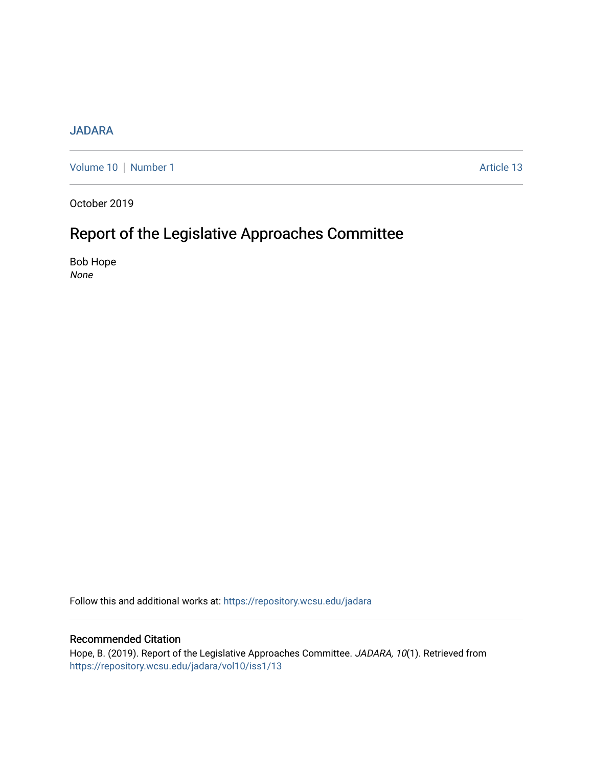#### [JADARA](https://repository.wcsu.edu/jadara)

[Volume 10](https://repository.wcsu.edu/jadara/vol10) | [Number 1](https://repository.wcsu.edu/jadara/vol10/iss1) Article 13

October 2019

# Report of the Legislative Approaches Committee

Bob Hope None

Follow this and additional works at: [https://repository.wcsu.edu/jadara](https://repository.wcsu.edu/jadara?utm_source=repository.wcsu.edu%2Fjadara%2Fvol10%2Fiss1%2F13&utm_medium=PDF&utm_campaign=PDFCoverPages)

### Recommended Citation

Hope, B. (2019). Report of the Legislative Approaches Committee. JADARA, 10(1). Retrieved from [https://repository.wcsu.edu/jadara/vol10/iss1/13](https://repository.wcsu.edu/jadara/vol10/iss1/13?utm_source=repository.wcsu.edu%2Fjadara%2Fvol10%2Fiss1%2F13&utm_medium=PDF&utm_campaign=PDFCoverPages)